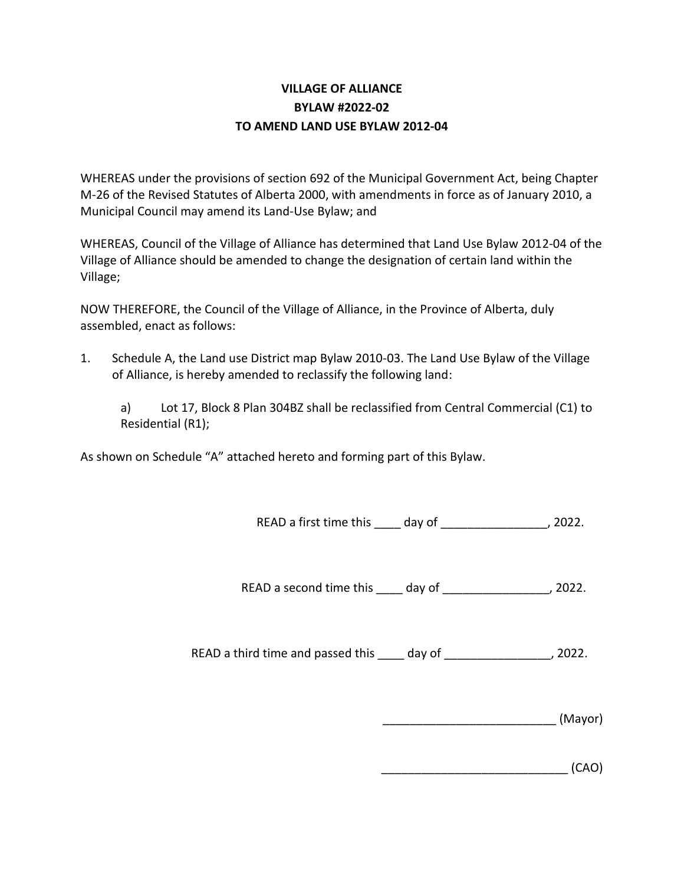## **VILLAGE OF ALLIANCE BYLAW #2022-02 TO AMEND LAND USE BYLAW 2012-04**

WHEREAS under the provisions of section 692 of the Municipal Government Act, being Chapter M-26 of the Revised Statutes of Alberta 2000, with amendments in force as of January 2010, a Municipal Council may amend its Land-Use Bylaw; and

WHEREAS, Council of the Village of Alliance has determined that Land Use Bylaw 2012-04 of the Village of Alliance should be amended to change the designation of certain land within the Village;

NOW THEREFORE, the Council of the Village of Alliance, in the Province of Alberta, duly assembled, enact as follows:

1. Schedule A, the Land use District map Bylaw 2010-03. The Land Use Bylaw of the Village of Alliance, is hereby amended to reclassify the following land:

a) Lot 17, Block 8 Plan 304BZ shall be reclassified from Central Commercial (C1) to Residential (R1);

As shown on Schedule "A" attached hereto and forming part of this Bylaw.

READ a first time this day of the set of the parameters of the set of the set of the set of the set of the set o

READ a second time this \_\_\_\_ day of \_\_\_\_\_\_\_\_\_\_\_\_\_\_\_, 2022.

READ a third time and passed this day of the set of the set of the set of the set of the set of the set of the set of the set of the set of the set of the set of the set of the set of the set of the set of the set of the s

|  | (Mayor) |
|--|---------|
|--|---------|

\_\_\_\_\_\_\_\_\_\_\_\_\_\_\_\_\_\_\_\_\_\_\_\_\_\_\_\_ (CAO)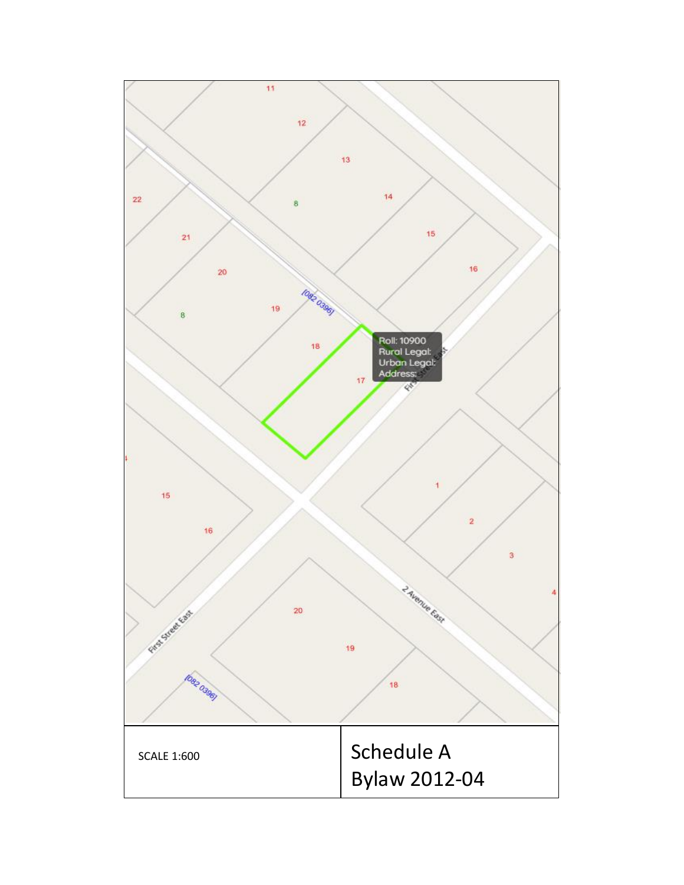